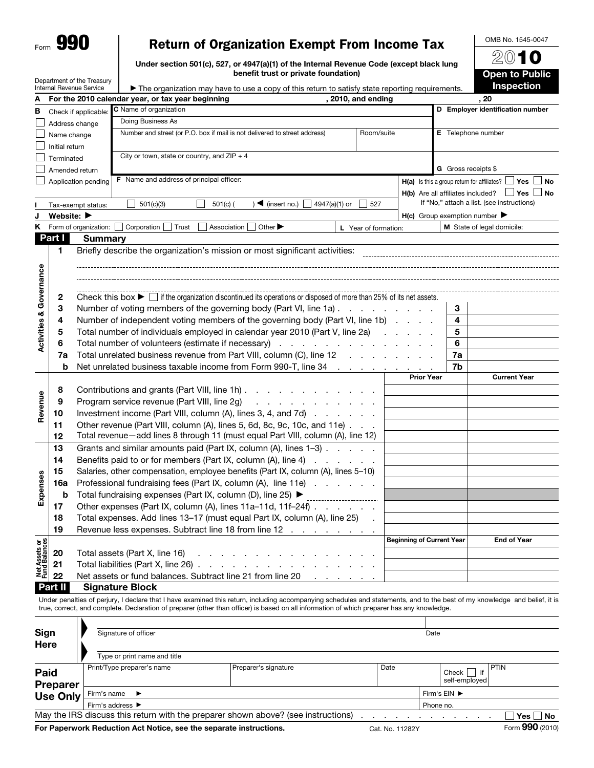| Form | v. |
|------|----|
|      |    |

# Return of Organization Exempt From Income Tax

Under section 501(c), 527, or 4947(a)(1) of the Internal Revenue Code (except black lung benefit trust or private foundation)

Department of the Treasury

| $\mathfrak{D}(0)$ 1 0                      |
|--------------------------------------------|
| <b>Open to Public</b><br><b>Inspection</b> |
|                                            |

OMB No. 1545-0047

|                                    |                                | Internal Revenue Service | $\blacktriangleright$ The organization may have to use a copy of this return to satisfy state reporting requirements.                     |  |                   |                                                               | <b>Inspection</b>                                        |  |  |  |
|------------------------------------|--------------------------------|--------------------------|-------------------------------------------------------------------------------------------------------------------------------------------|--|-------------------|---------------------------------------------------------------|----------------------------------------------------------|--|--|--|
| A                                  |                                |                          | 2010, and ending<br>For the 2010 calendar year, or tax year beginning                                                                     |  |                   |                                                               | .20                                                      |  |  |  |
| в                                  |                                | Check if applicable:     | C Name of organization                                                                                                                    |  |                   |                                                               | D Employer identification number                         |  |  |  |
|                                    |                                | Address change           | Doing Business As                                                                                                                         |  |                   |                                                               |                                                          |  |  |  |
|                                    | Name change                    |                          | Number and street (or P.O. box if mail is not delivered to street address)<br>Room/suite                                                  |  |                   | E Telephone number                                            |                                                          |  |  |  |
|                                    | Initial return                 |                          |                                                                                                                                           |  |                   |                                                               |                                                          |  |  |  |
|                                    | Terminated                     |                          | City or town, state or country, and $ZIP + 4$                                                                                             |  |                   |                                                               |                                                          |  |  |  |
|                                    |                                | Amended return           |                                                                                                                                           |  |                   |                                                               | <b>G</b> Gross receipts \$                               |  |  |  |
|                                    |                                | Application pending      | <b>F</b> Name and address of principal officer:                                                                                           |  |                   | <b>H(a)</b> Is this a group return for affiliates? $\Box$ Yes |                                                          |  |  |  |
|                                    |                                |                          |                                                                                                                                           |  |                   |                                                               | $H(b)$ Are all affiliates included? $\Box$ Yes $\Box$ No |  |  |  |
|                                    |                                | Tax-exempt status:       | $\sqrt{\frac{4}{1}}$ (insert no.)<br>4947(a)(1) or<br>527<br>501(c)(3)<br>$501(c)$ (                                                      |  |                   |                                                               | If "No," attach a list. (see instructions)               |  |  |  |
| J                                  | Website: $\blacktriangleright$ |                          |                                                                                                                                           |  |                   |                                                               | $H(c)$ Group exemption number $\blacktriangleright$      |  |  |  |
|                                    |                                | K Form of organization:  | Other $\blacktriangleright$<br>Corporation<br>Trust<br>Association<br>L Year of formation:                                                |  |                   |                                                               | M State of legal domicile:                               |  |  |  |
|                                    | Part I                         | <b>Summary</b>           |                                                                                                                                           |  |                   |                                                               |                                                          |  |  |  |
|                                    | $\mathbf{1}$                   |                          | Briefly describe the organization's mission or most significant activities:                                                               |  |                   |                                                               |                                                          |  |  |  |
|                                    |                                |                          |                                                                                                                                           |  |                   |                                                               |                                                          |  |  |  |
| <b>Activities &amp; Governance</b> |                                |                          |                                                                                                                                           |  |                   |                                                               |                                                          |  |  |  |
|                                    |                                |                          |                                                                                                                                           |  |                   |                                                               |                                                          |  |  |  |
|                                    | 2                              |                          | Check this box $\blacktriangleright \Box$ if the organization discontinued its operations or disposed of more than 25% of its net assets. |  |                   |                                                               |                                                          |  |  |  |
|                                    | 3                              |                          | Number of voting members of the governing body (Part VI, line 1a)                                                                         |  |                   | 3                                                             |                                                          |  |  |  |
|                                    | 4                              |                          | Number of independent voting members of the governing body (Part VI, line 1b)                                                             |  |                   | 4                                                             |                                                          |  |  |  |
|                                    | 5                              |                          | Total number of individuals employed in calendar year 2010 (Part V, line 2a)                                                              |  |                   | 5                                                             |                                                          |  |  |  |
|                                    | 6                              |                          | Total number of volunteers (estimate if necessary)                                                                                        |  | 6                 |                                                               |                                                          |  |  |  |
|                                    | 7a                             |                          | Total unrelated business revenue from Part VIII, column (C), line 12                                                                      |  |                   | 7a                                                            |                                                          |  |  |  |
|                                    | b                              |                          | Net unrelated business taxable income from Form 990-T, line 34 contact and the state of the state of the state                            |  |                   | 7b                                                            |                                                          |  |  |  |
|                                    |                                |                          |                                                                                                                                           |  | <b>Prior Year</b> |                                                               | <b>Current Year</b>                                      |  |  |  |
|                                    | 8                              |                          | Contributions and grants (Part VIII, line 1h)                                                                                             |  |                   |                                                               |                                                          |  |  |  |
|                                    | 9                              |                          | Program service revenue (Part VIII, line 2g)<br>والمناول والمناول والواقي والمراوي                                                        |  |                   |                                                               |                                                          |  |  |  |
| Revenue                            | 10                             |                          | Investment income (Part VIII, column (A), lines 3, 4, and 7d)                                                                             |  |                   |                                                               |                                                          |  |  |  |
|                                    | 11                             |                          | Other revenue (Part VIII, column (A), lines 5, 6d, 8c, 9c, 10c, and 11e)                                                                  |  |                   |                                                               |                                                          |  |  |  |
|                                    | 12                             |                          | Total revenue-add lines 8 through 11 (must equal Part VIII, column (A), line 12)                                                          |  |                   |                                                               |                                                          |  |  |  |
|                                    | 13                             |                          | Grants and similar amounts paid (Part IX, column (A), lines 1-3)                                                                          |  |                   |                                                               |                                                          |  |  |  |
|                                    | 14                             |                          | Benefits paid to or for members (Part IX, column (A), line 4)                                                                             |  |                   |                                                               |                                                          |  |  |  |
|                                    | 15                             |                          | Salaries, other compensation, employee benefits (Part IX, column (A), lines 5-10)                                                         |  |                   |                                                               |                                                          |  |  |  |
| Expenses                           | 16a                            |                          | Professional fundraising fees (Part IX, column (A), line 11e)                                                                             |  |                   |                                                               |                                                          |  |  |  |
|                                    | b                              |                          | Total fundraising expenses (Part IX, column (D), line 25) ▶                                                                               |  |                   |                                                               |                                                          |  |  |  |
|                                    | 17                             |                          | ________________________<br>Other expenses (Part IX, column (A), lines 11a-11d, 11f-24f)                                                  |  |                   |                                                               |                                                          |  |  |  |
|                                    | 18                             |                          | Total expenses. Add lines 13-17 (must equal Part IX, column (A), line 25)                                                                 |  |                   |                                                               |                                                          |  |  |  |
|                                    | 19                             |                          | Revenue less expenses. Subtract line 18 from line 12                                                                                      |  |                   |                                                               |                                                          |  |  |  |
|                                    |                                |                          |                                                                                                                                           |  |                   | <b>Beginning of Current Year</b>                              | <b>End of Year</b>                                       |  |  |  |
| Net Assets or<br>Fund Balances     |                                |                          |                                                                                                                                           |  |                   |                                                               |                                                          |  |  |  |
|                                    | 20<br>21                       |                          | Total assets (Part X, line 16)                                                                                                            |  |                   |                                                               |                                                          |  |  |  |
|                                    | 22                             |                          | Total liabilities (Part X, line 26).<br>and the company of the<br>$\sim$                                                                  |  |                   |                                                               |                                                          |  |  |  |
|                                    |                                |                          | Net assets or fund balances. Subtract line 21 from line 20<br>and a string                                                                |  |                   |                                                               |                                                          |  |  |  |

Part II Signature Block

Under penalties of perjury, I declare that I have examined this return, including accompanying schedules and statements, and to the best of my knowledge and belief, it is true, correct, and complete. Declaration of preparer (other than officer) is based on all information of which preparer has any knowledge.  $\overline{\mathbf{L}}$ 

| Sign<br>Here     | Signature of officer                 |                                                                                   |      | Date |  |                                   |
|------------------|--------------------------------------|-----------------------------------------------------------------------------------|------|------|--|-----------------------------------|
|                  | Type or print name and title         |                                                                                   |      |      |  |                                   |
| Paid<br>Preparer | Print/Type preparer's name           | Preparer's signature                                                              | Date |      |  |                                   |
| <b>Use Only</b>  | Firm's name $\blacktriangleright$    | Firm's EIN ▶                                                                      |      |      |  |                                   |
|                  | Firm's address $\blacktriangleright$ | Phone no.                                                                         |      |      |  |                                   |
|                  |                                      | May the IRS discuss this return with the preparer shown above? (see instructions) |      |      |  | ∣Yes │ │No                        |
|                  |                                      |                                                                                   |      |      |  | $\overline{a}$ 000 $\overline{a}$ |

For Paperwork Reduction Act Notice, see the separate instructions. Cat. No. 11282Y Form 990 (2010)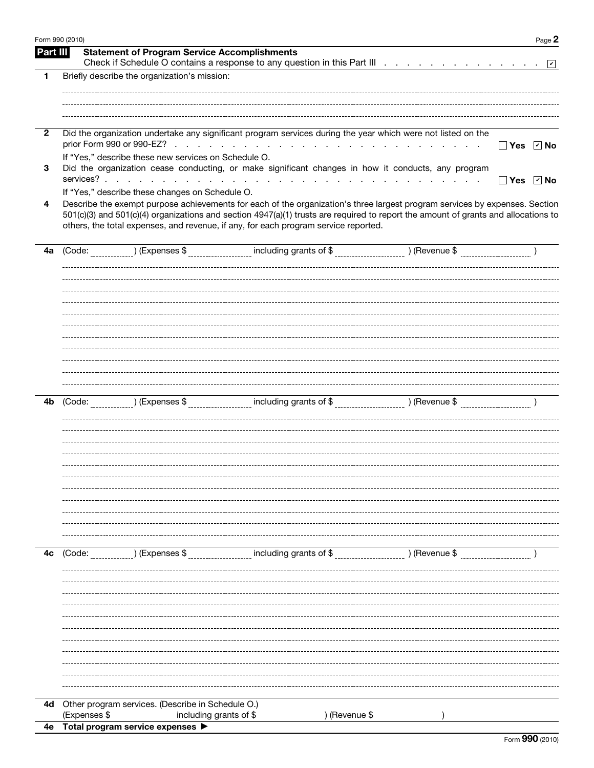| Form 990 (2010) |                                                                                                                                                                                                                                                                                                                                                          |                                                                        |                  | Page 2       |
|-----------------|----------------------------------------------------------------------------------------------------------------------------------------------------------------------------------------------------------------------------------------------------------------------------------------------------------------------------------------------------------|------------------------------------------------------------------------|------------------|--------------|
| Part III        | <b>Statement of Program Service Accomplishments</b>                                                                                                                                                                                                                                                                                                      |                                                                        |                  |              |
| 1               | Briefly describe the organization's mission:                                                                                                                                                                                                                                                                                                             |                                                                        |                  |              |
|                 |                                                                                                                                                                                                                                                                                                                                                          |                                                                        |                  |              |
|                 |                                                                                                                                                                                                                                                                                                                                                          |                                                                        |                  |              |
| $\overline{2}$  | Did the organization undertake any significant program services during the year which were not listed on the                                                                                                                                                                                                                                             |                                                                        |                  |              |
|                 |                                                                                                                                                                                                                                                                                                                                                          |                                                                        | $\sim$ 100 $\mu$ | □ Yes ☑ No   |
| 3               | If "Yes," describe these new services on Schedule O.<br>Did the organization cease conducting, or make significant changes in how it conducts, any program<br>services?                                                                                                                                                                                  | the second contract of the contract of the contract of the contract of |                  | Yes<br>ାମ No |
|                 | If "Yes," describe these changes on Schedule O.                                                                                                                                                                                                                                                                                                          |                                                                        |                  |              |
| 4               | Describe the exempt purpose achievements for each of the organization's three largest program services by expenses. Section<br>501(c)(3) and 501(c)(4) organizations and section 4947(a)(1) trusts are required to report the amount of grants and allocations to<br>others, the total expenses, and revenue, if any, for each program service reported. |                                                                        |                  |              |
| 4a              | (Code:<br>) (Expenses \$                                                                                                                                                                                                                                                                                                                                 |                                                                        |                  |              |
|                 |                                                                                                                                                                                                                                                                                                                                                          |                                                                        |                  |              |
|                 |                                                                                                                                                                                                                                                                                                                                                          |                                                                        |                  |              |
|                 |                                                                                                                                                                                                                                                                                                                                                          |                                                                        |                  |              |
|                 |                                                                                                                                                                                                                                                                                                                                                          |                                                                        |                  |              |
|                 |                                                                                                                                                                                                                                                                                                                                                          |                                                                        |                  |              |
|                 |                                                                                                                                                                                                                                                                                                                                                          |                                                                        |                  |              |
|                 |                                                                                                                                                                                                                                                                                                                                                          |                                                                        |                  |              |
|                 |                                                                                                                                                                                                                                                                                                                                                          |                                                                        |                  |              |
| 4b              | ) (Expenses \$<br>(Code:                                                                                                                                                                                                                                                                                                                                 |                                                                        |                  |              |
|                 |                                                                                                                                                                                                                                                                                                                                                          |                                                                        |                  |              |
|                 |                                                                                                                                                                                                                                                                                                                                                          |                                                                        |                  |              |
|                 |                                                                                                                                                                                                                                                                                                                                                          |                                                                        |                  |              |
|                 |                                                                                                                                                                                                                                                                                                                                                          |                                                                        |                  |              |
|                 |                                                                                                                                                                                                                                                                                                                                                          |                                                                        |                  |              |
|                 |                                                                                                                                                                                                                                                                                                                                                          |                                                                        |                  |              |
|                 |                                                                                                                                                                                                                                                                                                                                                          |                                                                        |                  |              |
|                 |                                                                                                                                                                                                                                                                                                                                                          |                                                                        |                  |              |
| 4c              | ) (Expenses \$<br>(Code:                                                                                                                                                                                                                                                                                                                                 | including grants of \$                                                 | $($ Revenue \$   |              |
|                 |                                                                                                                                                                                                                                                                                                                                                          |                                                                        |                  |              |
|                 |                                                                                                                                                                                                                                                                                                                                                          |                                                                        |                  |              |
|                 |                                                                                                                                                                                                                                                                                                                                                          |                                                                        |                  |              |
|                 |                                                                                                                                                                                                                                                                                                                                                          |                                                                        |                  |              |
|                 |                                                                                                                                                                                                                                                                                                                                                          |                                                                        |                  |              |
|                 |                                                                                                                                                                                                                                                                                                                                                          |                                                                        |                  |              |
|                 |                                                                                                                                                                                                                                                                                                                                                          |                                                                        |                  |              |
|                 |                                                                                                                                                                                                                                                                                                                                                          |                                                                        |                  |              |
|                 |                                                                                                                                                                                                                                                                                                                                                          |                                                                        |                  |              |
| 4d              | Other program services. (Describe in Schedule O.)<br>(Expenses \$<br>including grants of \$                                                                                                                                                                                                                                                              | ) (Revenue \$                                                          |                  |              |
| 4е              | Total program service expenses                                                                                                                                                                                                                                                                                                                           |                                                                        |                  |              |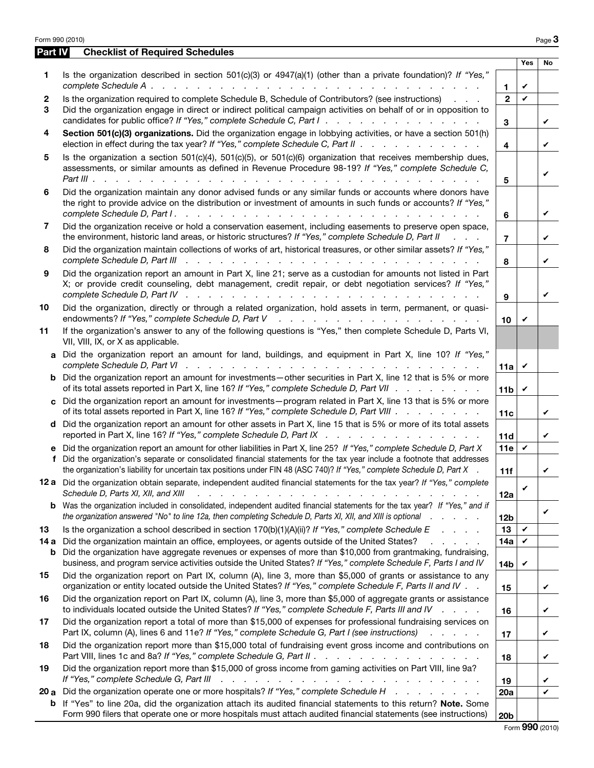|              | Form 990 (2010)                                                                                                                                                                                                                                                                                                                                                                                  |                         |                 | Page 3 |
|--------------|--------------------------------------------------------------------------------------------------------------------------------------------------------------------------------------------------------------------------------------------------------------------------------------------------------------------------------------------------------------------------------------------------|-------------------------|-----------------|--------|
| Part IV      | <b>Checklist of Required Schedules</b>                                                                                                                                                                                                                                                                                                                                                           |                         |                 |        |
| 1            | Is the organization described in section 501(c)(3) or 4947(a)(1) (other than a private foundation)? If "Yes,"                                                                                                                                                                                                                                                                                    | 1                       | <b>Yes</b><br>V | No     |
| $\mathbf{2}$ | Is the organization required to complete Schedule B, Schedule of Contributors? (see instructions)                                                                                                                                                                                                                                                                                                | $\mathfrak{p}$          | $\mathbf{v}$    |        |
| 3            | Did the organization engage in direct or indirect political campaign activities on behalf of or in opposition to<br>candidates for public office? If "Yes," complete Schedule C, Part I.                                                                                                                                                                                                         | 3                       |                 | V      |
| 4            | Section 501(c)(3) organizations. Did the organization engage in lobbying activities, or have a section 501(h)<br>election in effect during the tax year? If "Yes," complete Schedule C, Part II $\ldots$                                                                                                                                                                                         | $\overline{\mathbf{4}}$ |                 | V      |
| 5            | Is the organization a section $501(c)(4)$ , $501(c)(5)$ , or $501(c)(6)$ organization that receives membership dues,<br>assessments, or similar amounts as defined in Revenue Procedure 98-19? If "Yes," complete Schedule C,                                                                                                                                                                    | 5                       |                 | V      |
| 6            | Did the organization maintain any donor advised funds or any similar funds or accounts where donors have<br>the right to provide advice on the distribution or investment of amounts in such funds or accounts? If "Yes,"                                                                                                                                                                        | 6                       |                 | V      |
| 7            | Did the organization receive or hold a conservation easement, including easements to preserve open space,<br>the environment, historic land areas, or historic structures? If "Yes," complete Schedule D, Part II<br>$\mathcal{L}^{\text{max}}$ and $\mathcal{L}^{\text{max}}$                                                                                                                   | $\overline{7}$          |                 | V      |
| 8            | Did the organization maintain collections of works of art, historical treasures, or other similar assets? If "Yes,"<br>complete Schedule D, Part III<br><u>. Andrea de la caractería de la caractería de la caractería de la caractería de la caractería de la caractería </u>                                                                                                                   | 8                       |                 | V      |
| 9            | Did the organization report an amount in Part X, line 21; serve as a custodian for amounts not listed in Part<br>X; or provide credit counseling, debt management, credit repair, or debt negotiation services? If "Yes,"<br>complete Schedule D, Part IV research research research research research research research research research                                                       | 9                       |                 | V      |
| 10           | Did the organization, directly or through a related organization, hold assets in term, permanent, or quasi-                                                                                                                                                                                                                                                                                      | 10                      | V               |        |
| 11           | If the organization's answer to any of the following questions is "Yes," then complete Schedule D, Parts VI,<br>VII, VIII, IX, or X as applicable.                                                                                                                                                                                                                                               |                         |                 |        |
| a            | Did the organization report an amount for land, buildings, and equipment in Part X, line 10? If "Yes,"                                                                                                                                                                                                                                                                                           | 11a                     | V               |        |
|              | <b>b</b> Did the organization report an amount for investments—other securities in Part X, line 12 that is 5% or more<br>of its total assets reported in Part X, line 16? If "Yes," complete Schedule D, Part VII.                                                                                                                                                                               | 11b $\vee$              |                 |        |
|              | c Did the organization report an amount for investments—program related in Part X, line 13 that is 5% or more<br>of its total assets reported in Part X, line 16? If "Yes," complete Schedule D, Part VIII                                                                                                                                                                                       | 11c                     |                 | V      |
|              | d Did the organization report an amount for other assets in Part X, line 15 that is 5% or more of its total assets<br>reported in Part X, line 16? If "Yes," complete Schedule D, Part IX                                                                                                                                                                                                        | 11d                     |                 | V      |
| f            | e Did the organization report an amount for other liabilities in Part X, line 25? If "Yes," complete Schedule D, Part X<br>Did the organization's separate or consolidated financial statements for the tax year include a footnote that addresses<br>the organization's liability for uncertain tax positions under FIN 48 (ASC 740)? If "Yes," complete Schedule D, Part X                     | 11e $\upsilon$<br>11f   |                 |        |
|              | 12 a Did the organization obtain separate, independent audited financial statements for the tax year? If "Yes," complete<br>Schedule D, Parts XI, XII, and XIII<br>a constitution of the constitution of the constitution of the constitution of the constitution of the constitution of the constitution of the constitution of the constitution of the constitution of the constitution of the | 12a                     | V               |        |
| b            | Was the organization included in consolidated, independent audited financial statements for the tax year? If "Yes," and if<br>the organization answered "No" to line 12a, then completing Schedule D, Parts XI, XII, and XIII is optional                                                                                                                                                        | 12 <sub>b</sub>         |                 | V      |
| 13           | Is the organization a school described in section $170(b)(1)(A)(ii)?$ If "Yes," complete Schedule E                                                                                                                                                                                                                                                                                              | 13                      | V               |        |
| 14 a<br>b    | Did the organization maintain an office, employees, or agents outside of the United States?<br>and a state of the<br>Did the organization have aggregate revenues or expenses of more than \$10,000 from grantmaking, fundraising,<br>business, and program service activities outside the United States? If "Yes," complete Schedule F, Parts I and IV                                          | 14a                     | V               |        |
| 15           | Did the organization report on Part IX, column (A), line 3, more than \$5,000 of grants or assistance to any<br>organization or entity located outside the United States? If "Yes," complete Schedule F, Parts II and IV                                                                                                                                                                         | <b>14b</b><br>15        | V               | V      |
| 16           | Did the organization report on Part IX, column (A), line 3, more than \$5,000 of aggregate grants or assistance<br>to individuals located outside the United States? If "Yes," complete Schedule F, Parts III and IV                                                                                                                                                                             | 16                      |                 | V      |
| 17           | Did the organization report a total of more than \$15,000 of expenses for professional fundraising services on<br>Part IX, column (A), lines 6 and 11e? If "Yes," complete Schedule G, Part I (see instructions)<br>and a state of                                                                                                                                                               | 17                      |                 | V      |
| 18           | Did the organization report more than \$15,000 total of fundraising event gross income and contributions on<br>Part VIII, lines 1c and 8a? If "Yes," complete Schedule G, Part II                                                                                                                                                                                                                | 18                      |                 | V      |
| 19           | Did the organization report more than \$15,000 of gross income from gaming activities on Part VIII, line 9a?<br>If "Yes," complete Schedule G, Part III<br>والمتعاونة والمتعاونة والمتعاونة والمتعاونة والمتعاونة والمتعاونة                                                                                                                                                                     | 19                      |                 | V      |
|              | 20 a Did the organization operate one or more hospitals? If "Yes," complete Schedule $H_1, \ldots, H_n, \ldots$                                                                                                                                                                                                                                                                                  | 20a                     |                 | V      |
| b            | If "Yes" to line 20a, did the organization attach its audited financial statements to this return? Note. Some<br>Form 990 filers that operate one or more hospitals must attach audited financial statements (see instructions)                                                                                                                                                                  | 20 <sub>b</sub>         |                 |        |

Form 990 (2010)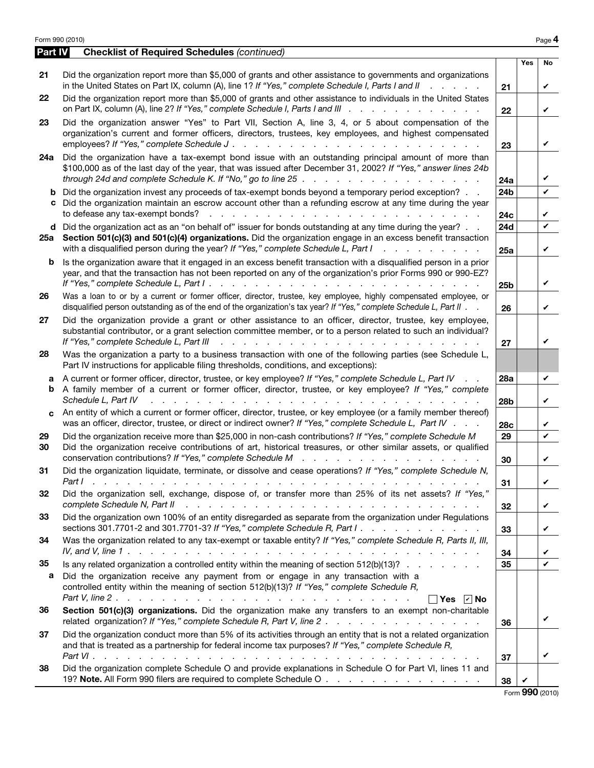| Part IV  | <b>Checklist of Required Schedules (continued)</b>                                                                                                                                                                                                                                                                                        |                 |            |                 |
|----------|-------------------------------------------------------------------------------------------------------------------------------------------------------------------------------------------------------------------------------------------------------------------------------------------------------------------------------------------|-----------------|------------|-----------------|
|          |                                                                                                                                                                                                                                                                                                                                           |                 | <b>Yes</b> | No              |
| 21       | Did the organization report more than \$5,000 of grants and other assistance to governments and organizations<br>in the United States on Part IX, column (A), line 1? If "Yes," complete Schedule I, Parts I and II                                                                                                                       | 21              |            | V               |
| 22       | Did the organization report more than \$5,000 of grants and other assistance to individuals in the United States<br>on Part IX, column (A), line 2? If "Yes," complete Schedule I, Parts I and III                                                                                                                                        | 22              |            | V               |
| 23       | Did the organization answer "Yes" to Part VII, Section A, line 3, 4, or 5 about compensation of the<br>organization's current and former officers, directors, trustees, key employees, and highest compensated                                                                                                                            |                 |            |                 |
|          |                                                                                                                                                                                                                                                                                                                                           | 23              |            | V               |
| 24a      | Did the organization have a tax-exempt bond issue with an outstanding principal amount of more than<br>\$100,000 as of the last day of the year, that was issued after December 31, 2002? If "Yes," answer lines 24b<br>through 24d and complete Schedule K. If "No," go to line $25 \ldots \ldots \ldots \ldots \ldots$                  | 24a             |            | V               |
|          | Did the organization invest any proceeds of tax-exempt bonds beyond a temporary period exception?<br>c Did the organization maintain an escrow account other than a refunding escrow at any time during the year<br>to defease any tax-exempt bonds?<br>.                                                                                 | 24b<br>24c      |            | V<br>V          |
| d        | Did the organization act as an "on behalf of" issuer for bonds outstanding at any time during the year?                                                                                                                                                                                                                                   | 24d             |            | $\checkmark$    |
| 25a      | Section 501(c)(3) and 501(c)(4) organizations. Did the organization engage in an excess benefit transaction<br>with a disqualified person during the year? If "Yes," complete Schedule L, Part I<br>$\mathbf{r}$ , $\mathbf{r}$ , $\mathbf{r}$ , $\mathbf{r}$ , $\mathbf{r}$ , $\mathbf{r}$ , $\mathbf{r}$                                | 25a             |            | V               |
| b        | Is the organization aware that it engaged in an excess benefit transaction with a disqualified person in a prior<br>year, and that the transaction has not been reported on any of the organization's prior Forms 990 or 990-EZ?<br>If "Yes," complete Schedule L, Part I.<br>and the contract of the contract of the                     | 25 <sub>b</sub> |            | V               |
| 26       | Was a loan to or by a current or former officer, director, trustee, key employee, highly compensated employee, or<br>disqualified person outstanding as of the end of the organization's tax year? If "Yes," complete Schedule L, Part II                                                                                                 | 26              |            | ✓               |
| 27       | Did the organization provide a grant or other assistance to an officer, director, trustee, key employee,<br>substantial contributor, or a grant selection committee member, or to a person related to such an individual?<br>If "Yes," complete Schedule L, Part III<br>a na mana an amaman<br>and a state                                | 27              |            | V               |
| 28       | Was the organization a party to a business transaction with one of the following parties (see Schedule L,<br>Part IV instructions for applicable filing thresholds, conditions, and exceptions):                                                                                                                                          |                 |            |                 |
|          | A current or former officer, director, trustee, or key employee? If "Yes," complete Schedule L, Part IV                                                                                                                                                                                                                                   | <b>28a</b>      |            | V               |
| b        | A family member of a current or former officer, director, trustee, or key employee? If "Yes," complete<br>Schedule L, Part IV                                                                                                                                                                                                             | 28b             |            | V               |
| c        | An entity of which a current or former officer, director, trustee, or key employee (or a family member thereof)<br>was an officer, director, trustee, or direct or indirect owner? If "Yes," complete Schedule L, Part IV                                                                                                                 | 28c             |            | V               |
| 29<br>30 | Did the organization receive more than \$25,000 in non-cash contributions? If "Yes," complete Schedule M<br>Did the organization receive contributions of art, historical treasures, or other similar assets, or qualified<br>conservation contributions? If "Yes," complete Schedule M                                                   | 29<br>30        |            | V<br>✓          |
| 31       | Did the organization liquidate, terminate, or dissolve and cease operations? If "Yes," complete Schedule N,                                                                                                                                                                                                                               | 31              |            | V               |
| 32       | Did the organization sell, exchange, dispose of, or transfer more than 25% of its net assets? If "Yes,"<br>complete Schedule N, Part II recently recently recently recently recently recently recently recently recently recently recently recently recently recently recently recently recently recently recently recently recently rece | 32              |            | V               |
| 33       | Did the organization own 100% of an entity disregarded as separate from the organization under Regulations<br>sections 301.7701-2 and 301.7701-3? If "Yes," complete Schedule R, Part $1 \cdot \cdot \cdot \cdot \cdot \cdot \cdot \cdot \cdot \cdot \cdot \cdot \cdot \cdot$                                                             | 33              |            | V               |
| 34       | Was the organization related to any tax-exempt or taxable entity? If "Yes," complete Schedule R, Parts II, III,<br>IV, and V, line 1 $\ldots$ $\ldots$ $\ldots$ $\ldots$ $\ldots$ $\ldots$ $\ldots$ $\ldots$ $\ldots$ $\ldots$ $\ldots$ $\ldots$ $\ldots$ $\ldots$                                                                        | 34              |            | V               |
| 35       | Is any related organization a controlled entity within the meaning of section $512(b)(13)?$                                                                                                                                                                                                                                               | 35              |            | $\mathbf v$     |
| а        | Did the organization receive any payment from or engage in any transaction with a<br>controlled entity within the meaning of section 512(b)(13)? If "Yes," complete Schedule R,<br>$\Box$ Yes $\Box$ No                                                                                                                                   |                 |            |                 |
| 36       | Section 501(c)(3) organizations. Did the organization make any transfers to an exempt non-charitable                                                                                                                                                                                                                                      | 36              |            | V               |
| 37       | Did the organization conduct more than 5% of its activities through an entity that is not a related organization<br>and that is treated as a partnership for federal income tax purposes? If "Yes," complete Schedule R,                                                                                                                  | 37              |            | V               |
| 38       | Did the organization complete Schedule O and provide explanations in Schedule O for Part VI, lines 11 and<br>19? Note. All Form 990 filers are required to complete Schedule O                                                                                                                                                            | 38              |            |                 |
|          |                                                                                                                                                                                                                                                                                                                                           |                 |            | Form 990 (2010) |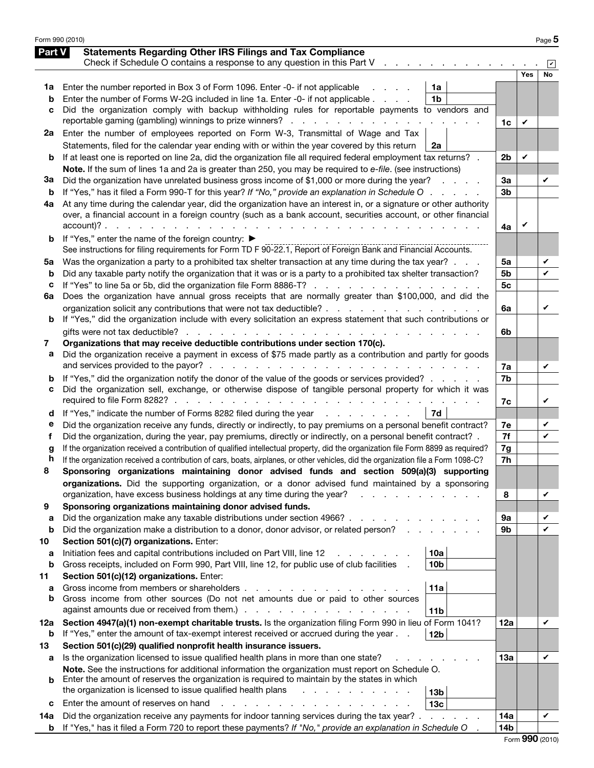|        | Form 990 (2010)                                                                                                                    |                |     | Page 5 |
|--------|------------------------------------------------------------------------------------------------------------------------------------|----------------|-----|--------|
| Part V | <b>Statements Regarding Other IRS Filings and Tax Compliance</b>                                                                   |                |     |        |
|        | Check if Schedule O contains a response to any question in this Part V                                                             |                |     |        |
|        |                                                                                                                                    |                | Yes | No     |
| 1a     | Enter the number reported in Box 3 of Form 1096. Enter -0- if not applicable<br>1a                                                 |                |     |        |
| b      | Enter the number of Forms W-2G included in line 1a. Enter -0- if not applicable<br>1 <sub>b</sub>                                  |                |     |        |
| c      | Did the organization comply with backup withholding rules for reportable payments to vendors and                                   |                |     |        |
|        | reportable gaming (gambling) winnings to prize winners?                                                                            | 1c             | V   |        |
| 2a     | Enter the number of employees reported on Form W-3, Transmittal of Wage and Tax                                                    |                |     |        |
|        | Statements, filed for the calendar year ending with or within the year covered by this return<br>2a                                |                |     |        |
| b      | If at least one is reported on line 2a, did the organization file all required federal employment tax returns? .                   | 2 <sub>b</sub> | V   |        |
|        | Note. If the sum of lines 1a and 2a is greater than 250, you may be required to e-file. (see instructions)                         |                |     |        |
| За     | Did the organization have unrelated business gross income of \$1,000 or more during the year?<br><b>Contractor</b>                 | За             |     | V      |
| b      | If "Yes," has it filed a Form 990-T for this year? If "No," provide an explanation in Schedule O                                   | 3 <sub>b</sub> |     |        |
| 4a     | At any time during the calendar year, did the organization have an interest in, or a signature or other authority                  |                |     |        |
|        | over, a financial account in a foreign country (such as a bank account, securities account, or other financial                     |                |     |        |
|        |                                                                                                                                    | 4a             | V   |        |
| b      | If "Yes," enter the name of the foreign country: ▶                                                                                 |                |     |        |
|        | See instructions for filing requirements for Form TD F 90-22.1, Report of Foreign Bank and Financial Accounts.                     |                |     |        |
| 5a     | Was the organization a party to a prohibited tax shelter transaction at any time during the tax year?                              | 5a             |     | V      |
| b      | Did any taxable party notify the organization that it was or is a party to a prohibited tax shelter transaction?                   | 5b             |     | V      |
| с      | If "Yes" to line 5a or 5b, did the organization file Form 8886-T?                                                                  | 5 <sub>c</sub> |     |        |
| 6a     | Does the organization have annual gross receipts that are normally greater than \$100,000, and did the                             |                |     |        |
|        | organization solicit any contributions that were not tax deductible?                                                               | 6a             |     | V      |
| b      | If "Yes," did the organization include with every solicitation an express statement that such contributions or                     |                |     |        |
|        |                                                                                                                                    | 6b             |     |        |
| 7      | Organizations that may receive deductible contributions under section 170(c).                                                      |                |     |        |
| a      | Did the organization receive a payment in excess of \$75 made partly as a contribution and partly for goods                        |                |     |        |
|        |                                                                                                                                    | 7a             |     | V      |
| b      | If "Yes," did the organization notify the donor of the value of the goods or services provided?                                    | 7b             |     |        |
| с      | Did the organization sell, exchange, or otherwise dispose of tangible personal property for which it was                           |                |     |        |
|        |                                                                                                                                    | 7c             |     | V      |
| d      | If "Yes," indicate the number of Forms 8282 filed during the year<br>7d                                                            |                |     |        |
| е      | Did the organization receive any funds, directly or indirectly, to pay premiums on a personal benefit contract?                    | 7e             |     | V      |
| f      | Did the organization, during the year, pay premiums, directly or indirectly, on a personal benefit contract?.                      | 7f             |     | ✓      |
| g      | If the organization received a contribution of qualified intellectual property, did the organization file Form 8899 as required?   | 7g             |     |        |
| h      | If the organization received a contribution of cars, boats, airplanes, or other vehicles, did the organization file a Form 1098-C? | 7h             |     |        |
| ໟ      | Sponsoring organizations maintaining donor advised funds and section 509(a)(3) supporting                                          |                |     |        |
|        | organizations. Did the supporting organization, or a donor advised fund maintained by a sponsoring                                 |                |     |        |
|        | organization, have excess business holdings at any time during the year?                                                           | 8              |     | V      |
| 9      | Sponsoring organizations maintaining donor advised funds.                                                                          |                |     |        |
| a<br>b | Did the organization make any taxable distributions under section 4966?                                                            | 9а<br>9b       |     | V<br>V |
| 10     | Did the organization make a distribution to a donor, donor advisor, or related person?<br>Section 501(c)(7) organizations. Enter:  |                |     |        |
| а      | 10a<br>Initiation fees and capital contributions included on Part VIII, line 12                                                    |                |     |        |
| b      | 10 <sub>b</sub><br>Gross receipts, included on Form 990, Part VIII, line 12, for public use of club facilities                     |                |     |        |
| 11     | Section 501(c)(12) organizations. Enter:                                                                                           |                |     |        |
| a      | Gross income from members or shareholders.<br>11a                                                                                  |                |     |        |
| b      | Gross income from other sources (Do not net amounts due or paid to other sources                                                   |                |     |        |
|        | against amounts due or received from them.) .<br>the contract of the contract of the con-<br>11 <sub>b</sub>                       |                |     |        |
| 12a    | Section 4947(a)(1) non-exempt charitable trusts. Is the organization filing Form 990 in lieu of Form 1041?                         | 12a            |     | V      |
| b      | If "Yes," enter the amount of tax-exempt interest received or accrued during the year.<br>12 <sub>b</sub>                          |                |     |        |
| 13     | Section 501(c)(29) qualified nonprofit health insurance issuers.                                                                   |                |     |        |
| а      | Is the organization licensed to issue qualified health plans in more than one state?                                               | 13а            |     | V      |
|        | Note. See the instructions for additional information the organization must report on Schedule O.                                  |                |     |        |
| b      | Enter the amount of reserves the organization is required to maintain by the states in which                                       |                |     |        |
|        | the organization is licensed to issue qualified health plans<br>13 <sub>b</sub>                                                    |                |     |        |
| c      | Enter the amount of reserves on hand<br>13 <sub>c</sub>                                                                            |                |     |        |
| 14a    | Did the organization receive any payments for indoor tanning services during the tax year? .                                       | 14a            |     | V      |
| b      | If "Yes," has it filed a Form 720 to report these payments? If "No," provide an explanation in Schedule O                          | 14b            |     |        |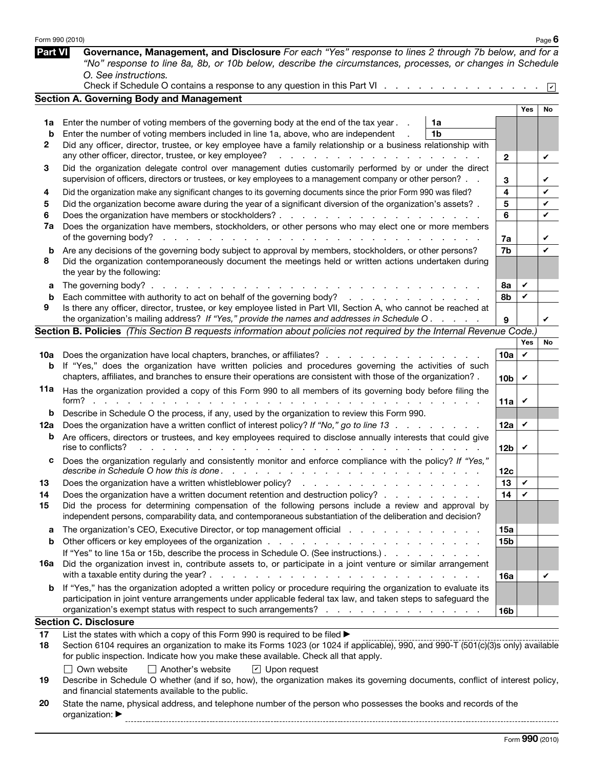|                | Form 990 (2010)                                                                                                                                                                                                                                 |                 |                 | Page $6$        |
|----------------|-------------------------------------------------------------------------------------------------------------------------------------------------------------------------------------------------------------------------------------------------|-----------------|-----------------|-----------------|
| <b>Part VI</b> | Governance, Management, and Disclosure For each "Yes" response to lines 2 through 7b below, and for a<br>"No" response to line 8a, 8b, or 10b below, describe the circumstances, processes, or changes in Schedule<br>O. See instructions.      |                 |                 |                 |
|                | Check if Schedule O contains a response to any question in this Part VI                                                                                                                                                                         |                 |                 | $\triangledown$ |
|                | <b>Section A. Governing Body and Management</b>                                                                                                                                                                                                 |                 |                 |                 |
|                |                                                                                                                                                                                                                                                 |                 | Yes             | No              |
| 1a             | Enter the number of voting members of the governing body at the end of the tax year.<br>1a                                                                                                                                                      |                 |                 |                 |
| b<br>2         | 1 <sub>b</sub><br>Enter the number of voting members included in line 1a, above, who are independent<br>Did any officer, director, trustee, or key employee have a family relationship or a business relationship with                          |                 |                 |                 |
|                | any other officer, director, trustee, or key employee?<br>.                                                                                                                                                                                     | $\mathbf{2}$    |                 | V               |
| 3              | Did the organization delegate control over management duties customarily performed by or under the direct                                                                                                                                       |                 |                 |                 |
|                | supervision of officers, directors or trustees, or key employees to a management company or other person?                                                                                                                                       | 3               |                 | V               |
| 4              | Did the organization make any significant changes to its governing documents since the prior Form 990 was filed?                                                                                                                                | 4               |                 | V               |
| 5              | Did the organization become aware during the year of a significant diversion of the organization's assets? .                                                                                                                                    | 5               |                 | V               |
| 6              |                                                                                                                                                                                                                                                 | 6               |                 | V               |
| 7a             | Does the organization have members, stockholders, or other persons who may elect one or more members                                                                                                                                            |                 |                 |                 |
|                | of the governing body?                                                                                                                                                                                                                          | 7a              |                 | V<br>V          |
| b<br>8         | Are any decisions of the governing body subject to approval by members, stockholders, or other persons?<br>Did the organization contemporaneously document the meetings held or written actions undertaken during<br>the year by the following: | 7b              |                 |                 |
| a              | The governing body? $\ldots$ $\ldots$ $\ldots$ $\ldots$ $\ldots$ $\ldots$                                                                                                                                                                       | 8а              | V               |                 |
| b              | Each committee with authority to act on behalf of the governing body?                                                                                                                                                                           | 8b              | V               |                 |
| 9              | Is there any officer, director, trustee, or key employee listed in Part VII, Section A, who cannot be reached at                                                                                                                                |                 |                 |                 |
|                | the organization's mailing address? If "Yes," provide the names and addresses in Schedule O.                                                                                                                                                    | 9               |                 | V               |
|                | Section B. Policies (This Section B requests information about policies not required by the Internal Revenue Code.)                                                                                                                             |                 |                 |                 |
|                |                                                                                                                                                                                                                                                 | 10a             | <b>Yes</b><br>V | No              |
| 10a<br>b       | Does the organization have local chapters, branches, or affiliates?<br>If "Yes," does the organization have written policies and procedures governing the activities of such                                                                    |                 |                 |                 |
|                | chapters, affiliates, and branches to ensure their operations are consistent with those of the organization? .                                                                                                                                  | 10 <sub>b</sub> | $\checkmark$    |                 |
| 11а            | Has the organization provided a copy of this Form 990 to all members of its governing body before filing the<br>form? $\ldots$ $\ldots$ $\ldots$ $\ldots$                                                                                       | 11a             | V               |                 |
| b              | Describe in Schedule O the process, if any, used by the organization to review this Form 990.                                                                                                                                                   |                 |                 |                 |
| 12a            | Does the organization have a written conflict of interest policy? If "No," go to line 13                                                                                                                                                        | 12a             | $\checkmark$    |                 |
| b              | Are officers, directors or trustees, and key employees required to disclose annually interests that could give<br>rise to conflicts?                                                                                                            | 12 <sub>b</sub> | V               |                 |
| с              | Does the organization regularly and consistently monitor and enforce compliance with the policy? If "Yes,"                                                                                                                                      | 12c             |                 |                 |
| 13             |                                                                                                                                                                                                                                                 | 13              | V               |                 |
| 14             | Does the organization have a written document retention and destruction policy?                                                                                                                                                                 | 14              | V               |                 |
| 15             | Did the process for determining compensation of the following persons include a review and approval by<br>independent persons, comparability data, and contemporaneous substantiation of the deliberation and decision?                         |                 |                 |                 |
| a              | The organization's CEO, Executive Director, or top management official results and results are all the organization's CEO, Executive Director, or top management official                                                                       | 15a             |                 |                 |
| b              | If "Yes" to line 15a or 15b, describe the process in Schedule O. (See instructions.)                                                                                                                                                            | <b>15b</b>      |                 |                 |
| 16a            | Did the organization invest in, contribute assets to, or participate in a joint venture or similar arrangement                                                                                                                                  |                 |                 |                 |
|                |                                                                                                                                                                                                                                                 | 16a             |                 | V               |
| b              | If "Yes," has the organization adopted a written policy or procedure requiring the organization to evaluate its                                                                                                                                 |                 |                 |                 |
|                | participation in joint venture arrangements under applicable federal tax law, and taken steps to safeguard the                                                                                                                                  |                 |                 |                 |
|                | organization's exempt status with respect to such arrangements?                                                                                                                                                                                 | <b>16b</b>      |                 |                 |
|                | <b>Section C. Disclosure</b>                                                                                                                                                                                                                    |                 |                 |                 |
| 17<br>18       | List the states with which a copy of this Form 990 is required to be filed ><br>Section 6104 requires an organization to make its Forms 1023 (or 1024 if applicable), 990, and 990-T (501(c)(3)s only) available                                |                 |                 |                 |
|                | for public inspection. Indicate how you make these available. Check all that apply.                                                                                                                                                             |                 |                 |                 |
|                | $\Box$ Own website<br>$\Box$ Another's website<br>$\boxed{\mathbf{v}}$ Upon request                                                                                                                                                             |                 |                 |                 |
| 19             | Describe in Schedule O whether (and if so, how), the organization makes its governing documents, conflict of interest policy,                                                                                                                   |                 |                 |                 |
|                | and financial statements available to the public.                                                                                                                                                                                               |                 |                 |                 |
| 20.            | State the name physical address, and telephone number of the person who possesses the books and records of the                                                                                                                                  |                 |                 |                 |

| 20 |                                     | State the name, physical address, and telephone number of the person who possesses the books and records of the |
|----|-------------------------------------|-----------------------------------------------------------------------------------------------------------------|
|    | organization: $\blacktriangleright$ |                                                                                                                 |
|    |                                     |                                                                                                                 |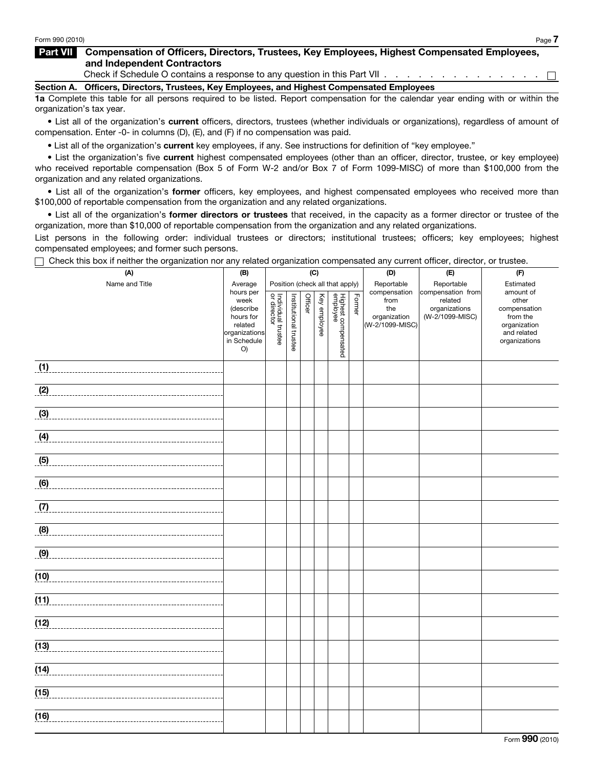### Part VII Compensation of Officers, Directors, Trustees, Key Employees, Highest Compensated Employees, and Independent Contractors

Check if Schedule O contains a response to any question in this Part VII . . . . . . . . . . . . . . .  $\Box$ 

#### Section A. Officers, Directors, Trustees, Key Employees, and Highest Compensated Employees

1a Complete this table for all persons required to be listed. Report compensation for the calendar year ending with or within the organization's tax year.

• List all of the organization's current officers, directors, trustees (whether individuals or organizations), regardless of amount of compensation. Enter -0- in columns (D), (E), and (F) if no compensation was paid.

• List all of the organization's current key employees, if any. See instructions for definition of "key employee."

• List the organization's five current highest compensated employees (other than an officer, director, trustee, or key employee) who received reportable compensation (Box 5 of Form W-2 and/or Box 7 of Form 1099-MISC) of more than \$100,000 from the organization and any related organizations.

• List all of the organization's former officers, key employees, and highest compensated employees who received more than \$100,000 of reportable compensation from the organization and any related organizations.

• List all of the organization's former directors or trustees that received, in the capacity as a former director or trustee of the organization, more than \$10,000 of reportable compensation from the organization and any related organizations.

List persons in the following order: individual trustees or directors; institutional trustees; officers; key employees; highest compensated employees; and former such persons.

Check this box if neither the organization nor any related organization compensated any current officer, director, or trustee.

| Origen this box in Heither the Organization hor any related organization compensated any current onlest, director, or trustee.<br>(A) | (B)                                                                                          |                                   |                       | (C)     |              |                                 |        | (D)                                                            | (E)                                                              | (F)                                                                                            |
|---------------------------------------------------------------------------------------------------------------------------------------|----------------------------------------------------------------------------------------------|-----------------------------------|-----------------------|---------|--------------|---------------------------------|--------|----------------------------------------------------------------|------------------------------------------------------------------|------------------------------------------------------------------------------------------------|
| Name and Title                                                                                                                        | Average                                                                                      |                                   |                       |         |              | Position (check all that apply) |        | Reportable                                                     | Reportable                                                       | Estimated                                                                                      |
|                                                                                                                                       | hours per<br>week<br>(describe<br>hours for<br>related<br>organizations<br>in Schedule<br>O) | Individual trustee<br>or director | Institutional trustee | Officer | Key employee | Highest compensated<br>employee | Former | compensation<br>from<br>the<br>organization<br>(W-2/1099-MISC) | compensation from<br>related<br>organizations<br>(W-2/1099-MISC) | amount of<br>other<br>compensation<br>from the<br>organization<br>and related<br>organizations |
| (1)                                                                                                                                   |                                                                                              |                                   |                       |         |              |                                 |        |                                                                |                                                                  |                                                                                                |
| (2)                                                                                                                                   |                                                                                              |                                   |                       |         |              |                                 |        |                                                                |                                                                  |                                                                                                |
| (3)                                                                                                                                   |                                                                                              |                                   |                       |         |              |                                 |        |                                                                |                                                                  |                                                                                                |
|                                                                                                                                       |                                                                                              |                                   |                       |         |              |                                 |        |                                                                |                                                                  |                                                                                                |
| $\overline{6}$                                                                                                                        |                                                                                              |                                   |                       |         |              |                                 |        |                                                                |                                                                  |                                                                                                |
| (6)                                                                                                                                   |                                                                                              |                                   |                       |         |              |                                 |        |                                                                |                                                                  |                                                                                                |
| (7)                                                                                                                                   |                                                                                              |                                   |                       |         |              |                                 |        |                                                                |                                                                  |                                                                                                |
| (8)                                                                                                                                   |                                                                                              |                                   |                       |         |              |                                 |        |                                                                |                                                                  |                                                                                                |
|                                                                                                                                       |                                                                                              |                                   |                       |         |              |                                 |        |                                                                |                                                                  |                                                                                                |
| (10)                                                                                                                                  |                                                                                              |                                   |                       |         |              |                                 |        |                                                                |                                                                  |                                                                                                |
| (11)                                                                                                                                  |                                                                                              |                                   |                       |         |              |                                 |        |                                                                |                                                                  |                                                                                                |
| (12)<br>----------------------------------                                                                                            |                                                                                              |                                   |                       |         |              |                                 |        |                                                                |                                                                  |                                                                                                |
| (13)                                                                                                                                  |                                                                                              |                                   |                       |         |              |                                 |        |                                                                |                                                                  |                                                                                                |
| (14)                                                                                                                                  |                                                                                              |                                   |                       |         |              |                                 |        |                                                                |                                                                  |                                                                                                |
| (15)                                                                                                                                  |                                                                                              |                                   |                       |         |              |                                 |        |                                                                |                                                                  |                                                                                                |
| (16)                                                                                                                                  |                                                                                              |                                   |                       |         |              |                                 |        |                                                                |                                                                  |                                                                                                |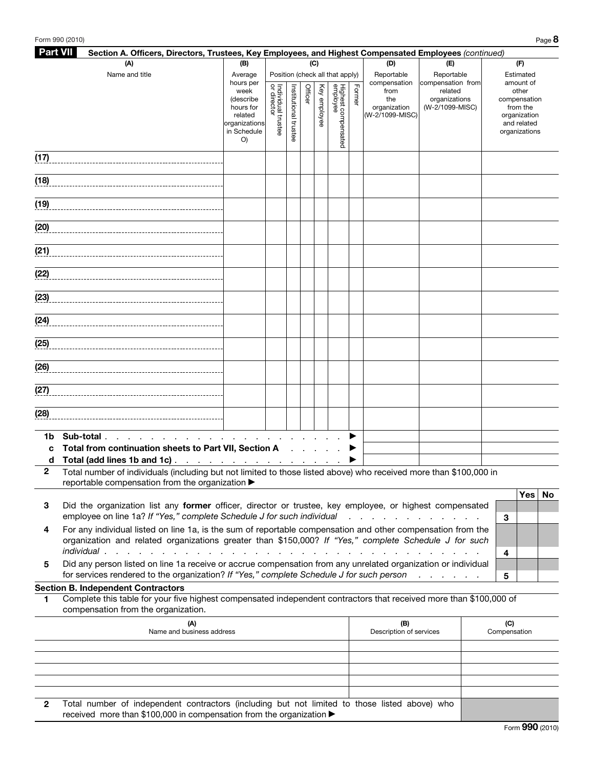| <b>Part VII</b> | Section A. Officers, Directors, Trustees, Key Employees, and Highest Compensated Employees (continued)                                                                                                               |                                                                           |                                     |                       |                |              |                                 |        |                                                |                                             |   |                                                                                   |  |
|-----------------|----------------------------------------------------------------------------------------------------------------------------------------------------------------------------------------------------------------------|---------------------------------------------------------------------------|-------------------------------------|-----------------------|----------------|--------------|---------------------------------|--------|------------------------------------------------|---------------------------------------------|---|-----------------------------------------------------------------------------------|--|
|                 | (A)                                                                                                                                                                                                                  | (B)                                                                       |                                     |                       | (C)            |              |                                 |        | (D)                                            | (E)                                         |   | (F)                                                                               |  |
|                 | Name and title                                                                                                                                                                                                       | Average<br>hours per                                                      |                                     |                       |                |              | Position (check all that apply) |        | Reportable<br>compensation                     | Reportable<br>compensation from             |   | Estimated<br>amount of                                                            |  |
|                 |                                                                                                                                                                                                                      | week<br>(describe<br>hours for<br>related<br>organizations<br>in Schedule | Individual trustee<br>  or director | Institutional trustee | Officer        | Key employee | Highest compensated<br>employee | Former | from<br>the<br>organization<br>(W-2/1099-MISC) | related<br>organizations<br>(W-2/1099-MISC) |   | other<br>compensation<br>from the<br>organization<br>and related<br>organizations |  |
| (17)            |                                                                                                                                                                                                                      | O)                                                                        |                                     |                       |                |              |                                 |        |                                                |                                             |   |                                                                                   |  |
|                 |                                                                                                                                                                                                                      |                                                                           |                                     |                       |                |              |                                 |        |                                                |                                             |   |                                                                                   |  |
| (18)            |                                                                                                                                                                                                                      |                                                                           |                                     |                       |                |              |                                 |        |                                                |                                             |   |                                                                                   |  |
| (19)            |                                                                                                                                                                                                                      |                                                                           |                                     |                       |                |              |                                 |        |                                                |                                             |   |                                                                                   |  |
| (20)            |                                                                                                                                                                                                                      |                                                                           |                                     |                       |                |              |                                 |        |                                                |                                             |   |                                                                                   |  |
| (21)            |                                                                                                                                                                                                                      |                                                                           |                                     |                       |                |              |                                 |        |                                                |                                             |   |                                                                                   |  |
| (22)            |                                                                                                                                                                                                                      |                                                                           |                                     |                       |                |              |                                 |        |                                                |                                             |   |                                                                                   |  |
| (23)            |                                                                                                                                                                                                                      |                                                                           |                                     |                       |                |              |                                 |        |                                                |                                             |   |                                                                                   |  |
|                 |                                                                                                                                                                                                                      |                                                                           |                                     |                       |                |              |                                 |        |                                                |                                             |   |                                                                                   |  |
| (25)            |                                                                                                                                                                                                                      |                                                                           |                                     |                       |                |              |                                 |        |                                                |                                             |   |                                                                                   |  |
| (26)            |                                                                                                                                                                                                                      |                                                                           |                                     |                       |                |              |                                 |        |                                                |                                             |   |                                                                                   |  |
| (27)            |                                                                                                                                                                                                                      |                                                                           |                                     |                       |                |              |                                 |        |                                                |                                             |   |                                                                                   |  |
| (28)            |                                                                                                                                                                                                                      |                                                                           |                                     |                       |                |              |                                 |        |                                                |                                             |   |                                                                                   |  |
| 1b              | Sub-total.<br>the contract of the contract of the                                                                                                                                                                    |                                                                           | the contract of the contract of     |                       |                |              |                                 | ▶      |                                                |                                             |   |                                                                                   |  |
| C               | Total from continuation sheets to Part VII, Section A                                                                                                                                                                |                                                                           |                                     |                       | <b>Service</b> |              |                                 |        |                                                |                                             |   |                                                                                   |  |
| d               | Total (add lines 1b and 1c).                                                                                                                                                                                         | and a series of the contract of the contract of                           |                                     |                       |                |              |                                 |        |                                                |                                             |   |                                                                                   |  |
| $\overline{2}$  | Total number of individuals (including but not limited to those listed above) who received more than \$100,000 in<br>reportable compensation from the organization $\blacktriangleright$                             |                                                                           |                                     |                       |                |              |                                 |        |                                                |                                             |   |                                                                                   |  |
| 3               | Did the organization list any former officer, director or trustee, key employee, or highest compensated<br>employee on line 1a? If "Yes," complete Schedule J for such individual                                    |                                                                           |                                     |                       |                |              |                                 |        |                                                |                                             | 3 | Yes   No                                                                          |  |
| 4               | For any individual listed on line 1a, is the sum of reportable compensation and other compensation from the<br>organization and related organizations greater than \$150,000? If "Yes," complete Schedule J for such |                                                                           |                                     |                       |                |              |                                 |        |                                                |                                             | 4 |                                                                                   |  |

5 Did any person listed on line 1a receive or accrue compensation from any unrelated organization or individual for services rendered to the organization? If "Yes," complete Schedule J for such person . . . . . . **5** 

## Section B. Independent Contractors

1 Complete this table for your five highest compensated independent contractors that received more than \$100,000 of compensation from the organization.

|   | (A)<br>Name and business address                                                                                                                                      | (B)<br>Description of services | (C)<br>Compensation |
|---|-----------------------------------------------------------------------------------------------------------------------------------------------------------------------|--------------------------------|---------------------|
|   |                                                                                                                                                                       |                                |                     |
|   |                                                                                                                                                                       |                                |                     |
|   |                                                                                                                                                                       |                                |                     |
|   |                                                                                                                                                                       |                                |                     |
|   |                                                                                                                                                                       |                                |                     |
| 2 | Total number of independent contractors (including but not limited to those listed above) who<br>received more than \$100,000 in compensation from the organization ▶ |                                |                     |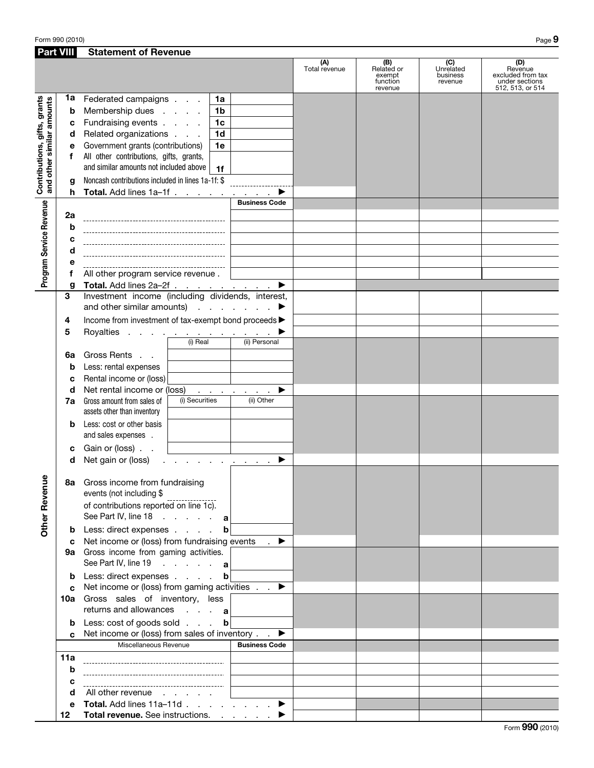| <b>Part VIII</b>                        |        | <b>Statement of Revenue</b>                                                                              |                      |                                                    |                                         |                                                                           |
|-----------------------------------------|--------|----------------------------------------------------------------------------------------------------------|----------------------|----------------------------------------------------|-----------------------------------------|---------------------------------------------------------------------------|
|                                         |        |                                                                                                          | (A)<br>Total revenue | (B)<br>Related or<br>exempt<br>function<br>revenue | (C)<br>Unrelated<br>business<br>revenue | (D)<br>Revenue<br>excluded from tax<br>under sections<br>512, 513, or 514 |
| Contributions, gifts, grants<br>amounts | 1a     | Federated campaigns<br>1a                                                                                |                      |                                                    |                                         |                                                                           |
|                                         | b      | Membership dues<br>1 <sub>b</sub>                                                                        |                      |                                                    |                                         |                                                                           |
|                                         | c      | Fundraising events<br>1 <sub>c</sub>                                                                     |                      |                                                    |                                         |                                                                           |
|                                         | d      | Related organizations<br>1 <sub>d</sub>                                                                  |                      |                                                    |                                         |                                                                           |
|                                         | е      | Government grants (contributions)<br>1e                                                                  |                      |                                                    |                                         |                                                                           |
|                                         | f      | All other contributions, gifts, grants,                                                                  |                      |                                                    |                                         |                                                                           |
|                                         |        | and similar amounts not included above<br>1f                                                             |                      |                                                    |                                         |                                                                           |
| and other similar                       | g      | Noncash contributions included in lines 1a-1f: \$                                                        |                      |                                                    |                                         |                                                                           |
|                                         | h      | <b>Total.</b> Add lines $1a-1f$ <u>.</u>                                                                 |                      |                                                    |                                         |                                                                           |
|                                         |        | <b>Business Code</b>                                                                                     |                      |                                                    |                                         |                                                                           |
| Program Service Revenue                 | 2a     |                                                                                                          |                      |                                                    |                                         |                                                                           |
|                                         | b      |                                                                                                          |                      |                                                    |                                         |                                                                           |
|                                         | c      |                                                                                                          |                      |                                                    |                                         |                                                                           |
|                                         | d      |                                                                                                          |                      |                                                    |                                         |                                                                           |
|                                         | е      |                                                                                                          |                      |                                                    |                                         |                                                                           |
|                                         | f      | All other program service revenue.                                                                       |                      |                                                    |                                         |                                                                           |
|                                         | g      | Total. Add lines 2a-2f<br>▶                                                                              |                      |                                                    |                                         |                                                                           |
|                                         | 3      | Investment income (including dividends, interest,                                                        |                      |                                                    |                                         |                                                                           |
|                                         |        | and other similar amounts) $\cdots$ $\cdots$                                                             |                      |                                                    |                                         |                                                                           |
|                                         | 4      | Income from investment of tax-exempt bond proceeds >                                                     |                      |                                                    |                                         |                                                                           |
|                                         | 5      | Royalties                                                                                                |                      |                                                    |                                         |                                                                           |
|                                         |        | (i) Real<br>(ii) Personal                                                                                |                      |                                                    |                                         |                                                                           |
|                                         | 6a     | Gross Rents                                                                                              |                      |                                                    |                                         |                                                                           |
|                                         | b      | Less: rental expenses                                                                                    |                      |                                                    |                                         |                                                                           |
|                                         | c      | Rental income or (loss)                                                                                  |                      |                                                    |                                         |                                                                           |
|                                         | d      | Net rental income or (loss)<br>▶<br>and the company of the<br>$\mathcal{L}$                              |                      |                                                    |                                         |                                                                           |
|                                         | 7a     | (i) Securities<br>(ii) Other<br>Gross amount from sales of<br>assets other than inventory                |                      |                                                    |                                         |                                                                           |
|                                         | b      | Less: cost or other basis                                                                                |                      |                                                    |                                         |                                                                           |
|                                         | c      | and sales expenses.<br>Gain or (loss)                                                                    |                      |                                                    |                                         |                                                                           |
|                                         | d      | Net gain or (loss)<br>and a straight and a straight                                                      |                      |                                                    |                                         |                                                                           |
| Φ                                       |        | 8a Gross income from fundraising                                                                         |                      |                                                    |                                         |                                                                           |
|                                         |        | events (not including \$<br>of contributions reported on line 1c).                                       |                      |                                                    |                                         |                                                                           |
| Other Revenu                            |        | See Part IV, line 18 $\ldots$ $\ldots$ a                                                                 |                      |                                                    |                                         |                                                                           |
|                                         | b      | Less: direct expenses<br>b                                                                               |                      |                                                    |                                         |                                                                           |
|                                         | c      | Net income or (loss) from fundraising events<br>$\rightarrow$<br>9a Gross income from gaming activities. |                      |                                                    |                                         |                                                                           |
|                                         |        | See Part IV, line 19 a                                                                                   |                      |                                                    |                                         |                                                                           |
|                                         |        | Less: direct expenses<br>b                                                                               |                      |                                                    |                                         |                                                                           |
|                                         | b<br>c | Net income or (loss) from gaming activities $\ldots$                                                     |                      |                                                    |                                         |                                                                           |
|                                         |        | 10a Gross sales of inventory, less                                                                       |                      |                                                    |                                         |                                                                           |
|                                         |        | returns and allowances a                                                                                 |                      |                                                    |                                         |                                                                           |
|                                         | b      | Less: cost of goods sold<br>$\mathbf b$                                                                  |                      |                                                    |                                         |                                                                           |
|                                         | C.     | Net income or (loss) from sales of inventory<br>▸                                                        |                      |                                                    |                                         |                                                                           |
|                                         |        | Miscellaneous Revenue<br><b>Business Code</b>                                                            |                      |                                                    |                                         |                                                                           |
|                                         | 11a    |                                                                                                          |                      |                                                    |                                         |                                                                           |
|                                         | b      |                                                                                                          |                      |                                                    |                                         |                                                                           |
|                                         | c      |                                                                                                          |                      |                                                    |                                         |                                                                           |
|                                         | d      | All other revenue                                                                                        |                      |                                                    |                                         |                                                                           |
|                                         | е      | <b>Total.</b> Add lines $11a-11d$ . $\blacktriangleright$                                                |                      |                                                    |                                         |                                                                           |
|                                         | 12     | Total revenue. See instructions.                                                                         |                      |                                                    |                                         |                                                                           |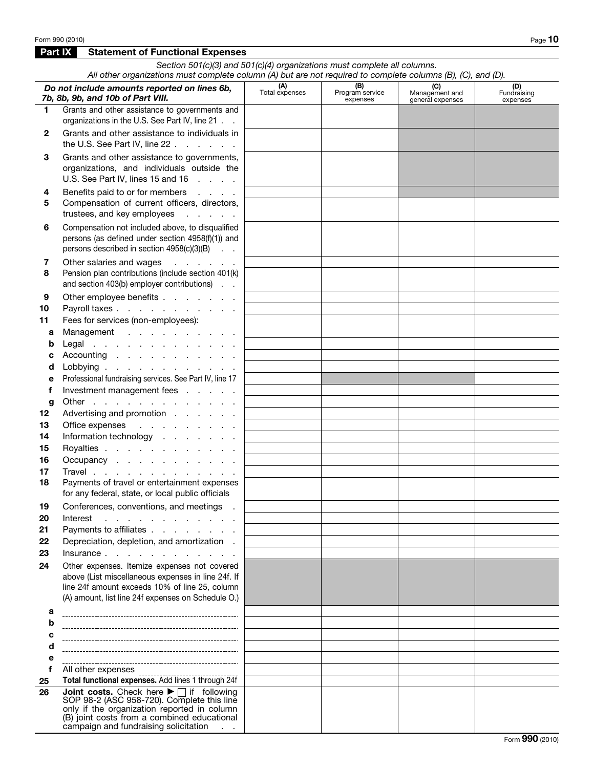Part IX Statement of Functional Expenses

#### *Section 501(c)(3) and 501(c)(4) organizations must complete all columns. All other organizations must complete column (A) but are not required to complete columns (B), (C), and (D).* **(A)**<br>Total expenses **(B)**<br>Program service  *Do not include amounts reported on lines 6b,*  (C) Management and **(D)**<br>Fundraising *7b, 8b, 9b, and 10b of Part VIII.* expenses general expenses expenses 1 Grants and other assistance to governments and organizations in the U.S. See Part IV, line 21. 2 Grants and other assistance to individuals in the U.S. See Part IV, line  $22 \cdot \cdot \cdot \cdot \cdot$ **3** Grants and other assistance to governments, organizations, and individuals outside the U.S. See Part IV, lines 15 and 16 . . . . 4 Benefits paid to or for members . . . . 5 Compensation of current officers, directors, trustees, and key employees . . . . . 6 Compensation not included above, to disqualified persons (as defined under section 4958(f)(1)) and persons described in section 4958(c)(3)(B) . . 7 Other salaries and wages . . . . . 8 Pension plan contributions (include section 401(k) and section 403(b) employer contributions) . . 9 Other employee benefits . . . . . . . 10 Payroll taxes . . . . . . . . . . . 11 Fees for services (non-employees): a Management . . . . . . . . . . **b** Legal . . . . . . . . . . . . . c Accounting  $\ldots$  . . . . . . . . . d Lobbying . . . . . . . . . . e Professional fundraising services. See Part IV, line 17 f Investment management fees . . . . . **g** Other . . . . . . . . . . . . . . 12 Advertising and promotion . . . . . 13 Office expenses . . . . . . . . 14 Information technology . . . . . . . 15 Royalties . . . . . . . . . . . . 16 Occupancy . . . . . . . . . . 17 Travel . . . . . . . . . . . . . 18 Payments of travel or entertainment expenses for any federal, state, or local public officials 19 Conferences, conventions, and meetings . 20 Interest . . . . . . . . . . . 21 Payments to affiliates . . . . . . . . 22 Depreciation, depletion, and amortization. 23 Insurance . . . . . . . . . . . . 24 Other expenses. Itemize expenses not covered above (List miscellaneous expenses in line 24f. If line 24f amount exceeds 10% of line 25, column (A) amount, list line 24f expenses on Schedule O.) a b c d e f All other expenses \_\_\_\_\_\_ 25 Total functional expenses. Add lines 1 through 24f **26 Joint costs.** Check here ▶ if following<br>SOP 98-2 (ASC 958-720). Complete this line only if the organization reported in column (B) joint costs from a combined educational campaign and fundraising solicitation . .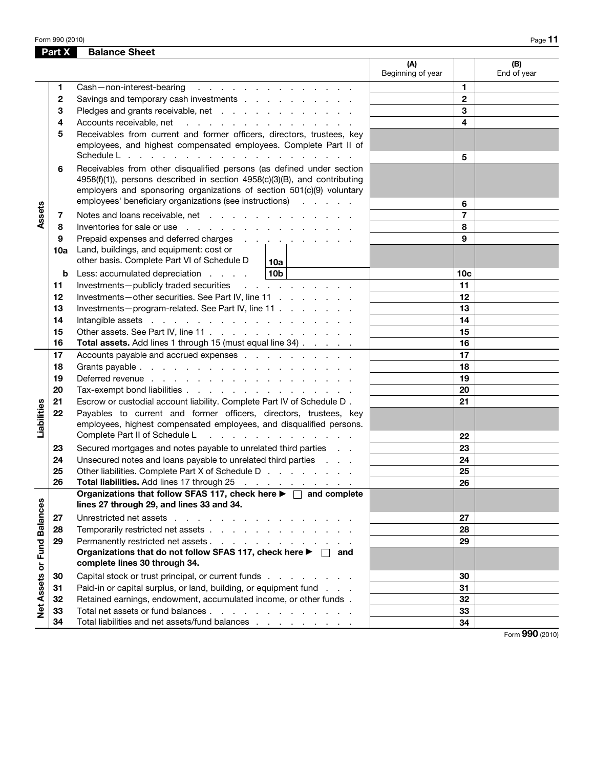|                             | Part X | <b>Balance Sheet</b>                                                                                                                                                                                                                                                                                 |                          |                          |                     |
|-----------------------------|--------|------------------------------------------------------------------------------------------------------------------------------------------------------------------------------------------------------------------------------------------------------------------------------------------------------|--------------------------|--------------------------|---------------------|
|                             |        |                                                                                                                                                                                                                                                                                                      | (A)<br>Beginning of year |                          | (B)<br>End of year  |
|                             | 1      | Cash-non-interest-bearing<br>and a series of the contract of the con-                                                                                                                                                                                                                                |                          | 1                        |                     |
|                             | 2      | Savings and temporary cash investments                                                                                                                                                                                                                                                               |                          | $\mathbf 2$              |                     |
|                             | 3      | Pledges and grants receivable, net                                                                                                                                                                                                                                                                   |                          | 3                        |                     |
|                             | 4      | Accounts receivable, net                                                                                                                                                                                                                                                                             |                          | 4                        |                     |
|                             | 5      | Receivables from current and former officers, directors, trustees, key<br>employees, and highest compensated employees. Complete Part II of                                                                                                                                                          |                          |                          |                     |
|                             | 6      | Schedule L<br>Receivables from other disqualified persons (as defined under section<br>4958(f)(1)), persons described in section 4958(c)(3)(B), and contributing<br>employers and sponsoring organizations of section 501(c)(9) voluntary<br>employees' beneficiary organizations (see instructions) |                          | 5<br>6                   |                     |
| Assets                      | 7      | Notes and loans receivable, net                                                                                                                                                                                                                                                                      |                          | $\overline{\phantom{a}}$ |                     |
|                             | 8      | Inventories for sale or use with a state of the state of the state of the state of the state of the state of the state of the state of the state of the state of the state of the state of the state of the state of the state                                                                       |                          | 8                        |                     |
|                             | 9      | Prepaid expenses and deferred charges                                                                                                                                                                                                                                                                |                          | 9                        |                     |
|                             | 10a    | Land, buildings, and equipment: cost or<br>other basis. Complete Part VI of Schedule D<br>10a l                                                                                                                                                                                                      |                          |                          |                     |
|                             | b      | 10 <sub>b</sub><br>Less: accumulated depreciation                                                                                                                                                                                                                                                    |                          | 10 <sub>c</sub>          |                     |
|                             | 11     | Investments-publicly traded securities<br>and a series of the contract of                                                                                                                                                                                                                            |                          | 11                       |                     |
|                             | 12     | Investments-other securities. See Part IV, line 11                                                                                                                                                                                                                                                   |                          | 12                       |                     |
|                             | 13     | Investments-program-related. See Part IV, line 11                                                                                                                                                                                                                                                    |                          | 13                       |                     |
|                             | 14     |                                                                                                                                                                                                                                                                                                      |                          | 14                       |                     |
|                             | 15     | Other assets. See Part IV, line 11                                                                                                                                                                                                                                                                   |                          | 15                       |                     |
|                             | 16     | Total assets. Add lines 1 through 15 (must equal line 34)                                                                                                                                                                                                                                            |                          | 16                       |                     |
|                             | 17     | Accounts payable and accrued expenses                                                                                                                                                                                                                                                                |                          | 17                       |                     |
|                             | 18     |                                                                                                                                                                                                                                                                                                      |                          | 18                       |                     |
|                             | 19     | Deferred revenue with a contract to contract the contract of the contract of the contract of the contract of the contract of the contract of the contract of the contract of the contract of the contract of the contract of t                                                                       |                          | 19                       |                     |
|                             | 20     | Tax-exempt bond liabilities                                                                                                                                                                                                                                                                          |                          | 20                       |                     |
|                             | 21     | Escrow or custodial account liability. Complete Part IV of Schedule D.                                                                                                                                                                                                                               |                          | 21                       |                     |
| Liabilities                 | 22     | Payables to current and former officers, directors, trustees, key<br>employees, highest compensated employees, and disqualified persons.                                                                                                                                                             |                          |                          |                     |
|                             |        | Complete Part II of Schedule L<br>the contract of the contract of the contract of                                                                                                                                                                                                                    |                          | 22                       |                     |
|                             | 23     | Secured mortgages and notes payable to unrelated third parties                                                                                                                                                                                                                                       |                          | 23                       |                     |
|                             | 24     | Unsecured notes and loans payable to unrelated third parties                                                                                                                                                                                                                                         |                          | 24                       |                     |
|                             | 25     | Other liabilities. Complete Part X of Schedule D                                                                                                                                                                                                                                                     |                          | 25                       |                     |
|                             | 26     | Total liabilities. Add lines 17 through 25                                                                                                                                                                                                                                                           |                          | 26                       |                     |
|                             |        | Organizations that follow SFAS 117, check here $\blacktriangleright \Box$ and complete<br>lines 27 through 29, and lines 33 and 34.                                                                                                                                                                  |                          |                          |                     |
|                             | 27     | Unrestricted net assets                                                                                                                                                                                                                                                                              |                          | 27                       |                     |
|                             | 28     | Temporarily restricted net assets                                                                                                                                                                                                                                                                    |                          | 28                       |                     |
|                             | 29     | Permanently restricted net assets                                                                                                                                                                                                                                                                    |                          | 29                       |                     |
|                             |        | Organizations that do not follow SFAS 117, check here ▶ □ and<br>complete lines 30 through 34.                                                                                                                                                                                                       |                          |                          |                     |
|                             | 30     | Capital stock or trust principal, or current funds                                                                                                                                                                                                                                                   |                          | 30                       |                     |
| Net Assets or Fund Balances | 31     | Paid-in or capital surplus, or land, building, or equipment fund                                                                                                                                                                                                                                     |                          | 31                       |                     |
|                             | 32     | Retained earnings, endowment, accumulated income, or other funds.                                                                                                                                                                                                                                    |                          | 32                       |                     |
|                             | 33     | Total net assets or fund balances                                                                                                                                                                                                                                                                    |                          | 33                       |                     |
|                             | 34     | Total liabilities and net assets/fund balances                                                                                                                                                                                                                                                       |                          | 34                       |                     |
|                             |        |                                                                                                                                                                                                                                                                                                      |                          |                          | $000 \text{ years}$ |

Form 990 (2010)